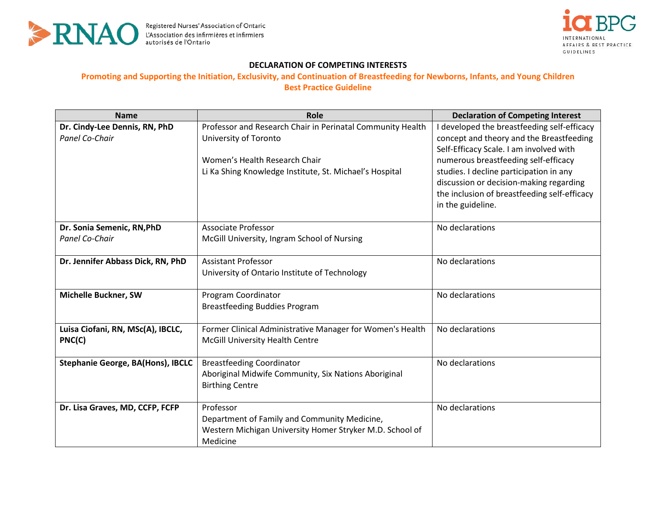



## **DECLARATION OF COMPETING INTERESTS**

## **Promoting and Supporting the Initiation, Exclusivity, and Continuation of Breastfeeding for Newborns, Infants, and Young Children Best Practice Guideline**

| <b>Name</b>                                         | Role                                                                                                                                                                            | <b>Declaration of Competing Interest</b>                                                                                                                                                                                                                                                                                              |
|-----------------------------------------------------|---------------------------------------------------------------------------------------------------------------------------------------------------------------------------------|---------------------------------------------------------------------------------------------------------------------------------------------------------------------------------------------------------------------------------------------------------------------------------------------------------------------------------------|
| Dr. Cindy-Lee Dennis, RN, PhD<br>Panel Co-Chair     | Professor and Research Chair in Perinatal Community Health<br>University of Toronto<br>Women's Health Research Chair<br>Li Ka Shing Knowledge Institute, St. Michael's Hospital | I developed the breastfeeding self-efficacy<br>concept and theory and the Breastfeeding<br>Self-Efficacy Scale. I am involved with<br>numerous breastfeeding self-efficacy<br>studies. I decline participation in any<br>discussion or decision-making regarding<br>the inclusion of breastfeeding self-efficacy<br>in the guideline. |
| Dr. Sonia Semenic, RN, PhD<br><b>Panel Co-Chair</b> | <b>Associate Professor</b><br>McGill University, Ingram School of Nursing                                                                                                       | No declarations                                                                                                                                                                                                                                                                                                                       |
| Dr. Jennifer Abbass Dick, RN, PhD                   | <b>Assistant Professor</b><br>University of Ontario Institute of Technology                                                                                                     | No declarations                                                                                                                                                                                                                                                                                                                       |
| Michelle Buckner, SW                                | Program Coordinator<br><b>Breastfeeding Buddies Program</b>                                                                                                                     | No declarations                                                                                                                                                                                                                                                                                                                       |
| Luisa Ciofani, RN, MSc(A), IBCLC,<br>PNC(C)         | Former Clinical Administrative Manager for Women's Health<br>McGill University Health Centre                                                                                    | No declarations                                                                                                                                                                                                                                                                                                                       |
| <b>Stephanie George, BA(Hons), IBCLC</b>            | <b>Breastfeeding Coordinator</b><br>Aboriginal Midwife Community, Six Nations Aboriginal<br><b>Birthing Centre</b>                                                              | No declarations                                                                                                                                                                                                                                                                                                                       |
| Dr. Lisa Graves, MD, CCFP, FCFP                     | Professor<br>Department of Family and Community Medicine,<br>Western Michigan University Homer Stryker M.D. School of<br>Medicine                                               | No declarations                                                                                                                                                                                                                                                                                                                       |